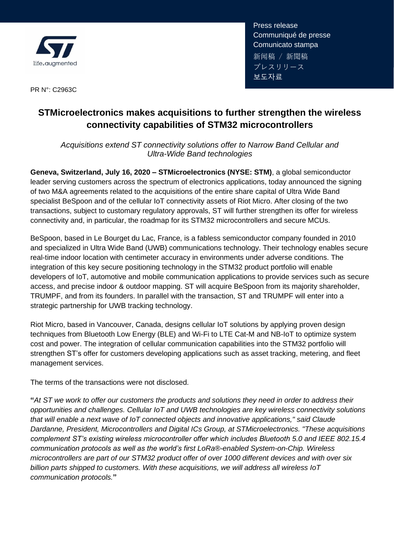

Communique de pre<br>Comunicato stampa Press release Communiqué de presse 新闻稿 / 新聞稿 プレスリリース 보도자료

PR N°: C2963C

# **STMicroelectronics makes acquisitions to further strengthen the wireless connectivity capabilities of STM32 microcontrollers**

*Acquisitions extend ST connectivity solutions offer to Narrow Band Cellular and Ultra-Wide Band technologies*

**Geneva, Switzerland, July 16, 2020 – STMicroelectronics (NYSE: STM)**, a global semiconductor leader serving customers across the spectrum of electronics applications, today announced the signing of two M&A agreements related to the acquisitions of the entire share capital of Ultra Wide Band specialist BeSpoon and of the cellular IoT connectivity assets of Riot Micro. After closing of the two transactions, subject to customary regulatory approvals, ST will further strengthen its offer for wireless connectivity and, in particular, the roadmap for its STM32 microcontrollers and secure MCUs.

BeSpoon, based in Le Bourget du Lac, France, is a fabless semiconductor company founded in 2010 and specialized in Ultra Wide Band (UWB) communications technology. Their technology enables secure real-time indoor location with centimeter accuracy in environments under adverse conditions. The integration of this key secure positioning technology in the STM32 product portfolio will enable developers of IoT, automotive and mobile communication applications to provide services such as secure access, and precise indoor & outdoor mapping. ST will acquire BeSpoon from its majority shareholder, TRUMPF, and from its founders. In parallel with the transaction, ST and TRUMPF will enter into a strategic partnership for UWB tracking technology.

Riot Micro, based in Vancouver, Canada, designs cellular IoT solutions by applying proven design techniques from Bluetooth Low Energy (BLE) and Wi-Fi to LTE Cat-M and NB-IoT to optimize system cost and power. The integration of cellular communication capabilities into the STM32 portfolio will strengthen ST's offer for customers developing applications such as asset tracking, metering, and fleet management services.

The terms of the transactions were not disclosed.

**"***At ST we work to offer our customers the products and solutions they need in order to address their opportunities and challenges. Cellular IoT and UWB technologies are key wireless connectivity solutions that will enable a next wave of IoT connected objects and innovative applications," said Claude Dardanne, President, Microcontrollers and Digital ICs Group, at STMicroelectronics. "These acquisitions complement ST's existing wireless microcontroller offer which includes Bluetooth [5.0](https://www.st.com/en/applications/connectivity/bluetooth-low-energy.html) and IEEE 802.15.4 communication protocols as well as the world's first LoRa®-enabled System-on-Chip. Wireless microcontrollers are part of our STM32 product offer of over 1000 different devices and with over six billion parts shipped to customers. With these acquisitions, we will address all wireless IoT communication protocols.***"**